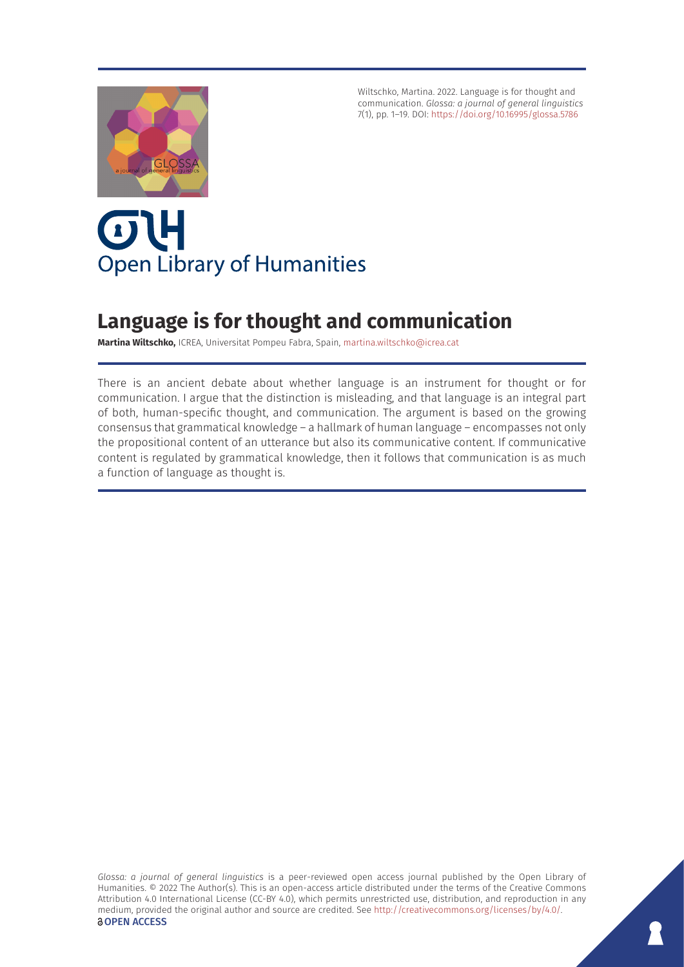Wiltschko, Martina. 2022. Language is for thought and communication. *Glossa: a journal of general linguistics* 7(1), pp. 1–19. DOI:<https://doi.org/10.16995/glossa.5786>



# OL **Open Library of Humanities**

## **Language is for thought and communication**

**Martina Wiltschko,** ICREA, Universitat Pompeu Fabra, Spain, [martina.wiltschko@icrea.cat](mailto:martina.wiltschko@icrea.cat)

There is an ancient debate about whether language is an instrument for thought or for communication. I argue that the distinction is misleading, and that language is an integral part of both, human-specific thought, and communication. The argument is based on the growing consensus that grammatical knowledge – a hallmark of human language – encompasses not only the propositional content of an utterance but also its communicative content. If communicative content is regulated by grammatical knowledge, then it follows that communication is as much a function of language as thought is.

*Glossa: a journal of general linguistics* is a peer-reviewed open access journal published by the Open Library of Humanities. © 2022 The Author(s). This is an open-access article distributed under the terms of the Creative Commons Attribution 4.0 International License (CC-BY 4.0), which permits unrestricted use, distribution, and reproduction in any medium, provided the original author and source are credited. See <http://creativecommons.org/licenses/by/4.0/>. **OPEN ACCESS**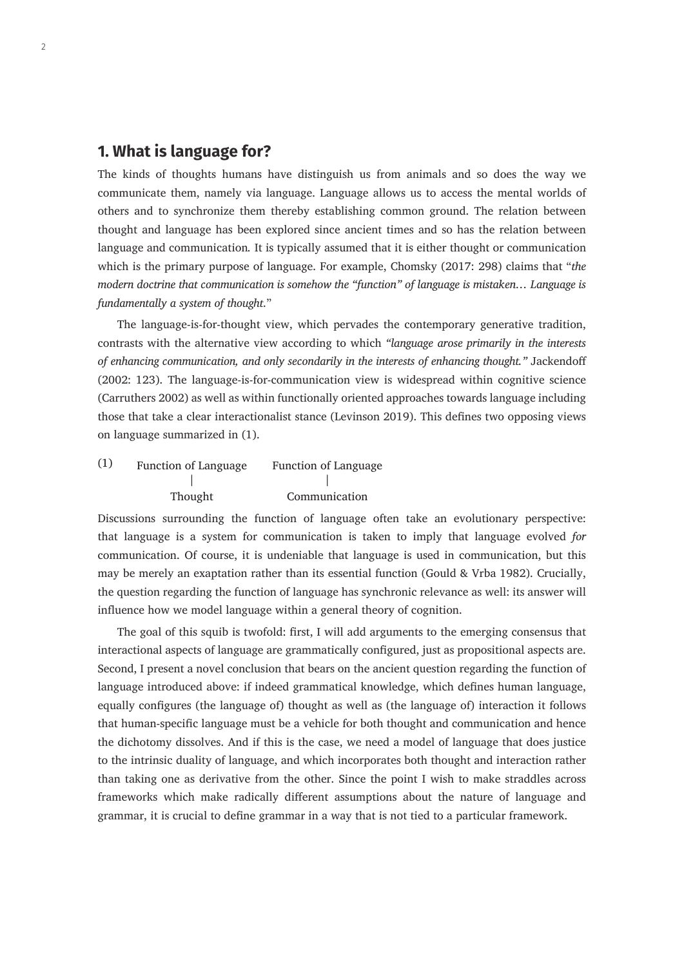### **1. What is language for?**

The kinds of thoughts humans have distinguish us from animals and so does the way we communicate them, namely via language. Language allows us to access the mental worlds of others and to synchronize them thereby establishing common ground. The relation between thought and language has been explored since ancient times and so has the relation between language and communication*.* It is typically assumed that it is either thought or communication which is the primary purpose of language. For example, Chomsky (2017: 298) claims that "*the modern doctrine that communication is somehow the "function" of language is mistaken… Language is fundamentally a system of thought*."

The language-is-for-thought view, which pervades the contemporary generative tradition, contrasts with the alternative view according to which *"language arose primarily in the interests of enhancing communication, and only secondarily in the interests of enhancing thought."* Jackendoff (2002: 123). The language-is-for-communication view is widespread within cognitive science (Carruthers 2002) as well as within functionally oriented approaches towards language including those that take a clear interactionalist stance (Levinson 2019). This defines two opposing views on language summarized in (1).

| (1) | <b>Function of Language</b> | <b>Function of Language</b> |  |
|-----|-----------------------------|-----------------------------|--|
|     |                             |                             |  |
|     | Thought                     | Communication               |  |

Discussions surrounding the function of language often take an evolutionary perspective: that language is a system for communication is taken to imply that language evolved *for*  communication. Of course, it is undeniable that language is used in communication, but this may be merely an exaptation rather than its essential function (Gould & Vrba 1982). Crucially, the question regarding the function of language has synchronic relevance as well: its answer will influence how we model language within a general theory of cognition.

The goal of this squib is twofold: first, I will add arguments to the emerging consensus that interactional aspects of language are grammatically configured, just as propositional aspects are. Second, I present a novel conclusion that bears on the ancient question regarding the function of language introduced above: if indeed grammatical knowledge, which defines human language, equally configures (the language of) thought as well as (the language of) interaction it follows that human-specific language must be a vehicle for both thought and communication and hence the dichotomy dissolves. And if this is the case, we need a model of language that does justice to the intrinsic duality of language, and which incorporates both thought and interaction rather than taking one as derivative from the other. Since the point I wish to make straddles across frameworks which make radically different assumptions about the nature of language and grammar, it is crucial to define grammar in a way that is not tied to a particular framework.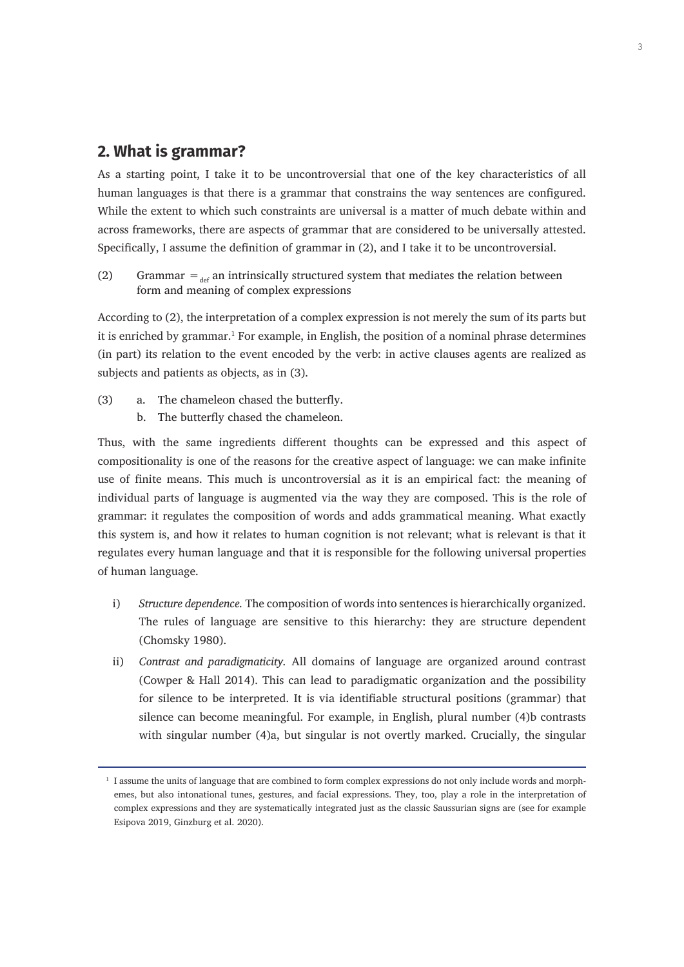### **2. What is grammar?**

As a starting point, I take it to be uncontroversial that one of the key characteristics of all human languages is that there is a grammar that constrains the way sentences are configured. While the extent to which such constraints are universal is a matter of much debate within and across frameworks, there are aspects of grammar that are considered to be universally attested. Specifically, I assume the definition of grammar in (2), and I take it to be uncontroversial.

(2) Grammar  $=_{\text{def}}$  an intrinsically structured system that mediates the relation between form and meaning of complex expressions

According to (2), the interpretation of a complex expression is not merely the sum of its parts but it is enriched by grammar.<sup>1</sup> For example, in English, the position of a nominal phrase determines (in part) its relation to the event encoded by the verb: in active clauses agents are realized as subjects and patients as objects, as in (3).

(3) a. The chameleon chased the butterfly. b. The butterfly chased the chameleon.

Thus, with the same ingredients different thoughts can be expressed and this aspect of compositionality is one of the reasons for the creative aspect of language: we can make infinite use of finite means. This much is uncontroversial as it is an empirical fact: the meaning of individual parts of language is augmented via the way they are composed. This is the role of grammar: it regulates the composition of words and adds grammatical meaning. What exactly this system is, and how it relates to human cognition is not relevant; what is relevant is that it regulates every human language and that it is responsible for the following universal properties of human language.

- i) *Structure dependence.* The composition of words into sentences is hierarchically organized. The rules of language are sensitive to this hierarchy: they are structure dependent (Chomsky 1980).
- ii) *Contrast and paradigmaticity.* All domains of language are organized around contrast (Cowper & Hall 2014). This can lead to paradigmatic organization and the possibility for silence to be interpreted. It is via identifiable structural positions (grammar) that silence can become meaningful. For example, in English, plural number (4)b contrasts with singular number (4)a, but singular is not overtly marked. Crucially, the singular

 $1$  I assume the units of language that are combined to form complex expressions do not only include words and morphemes, but also intonational tunes, gestures, and facial expressions. They, too, play a role in the interpretation of complex expressions and they are systematically integrated just as the classic Saussurian signs are (see for example Esipova 2019, Ginzburg et al. 2020).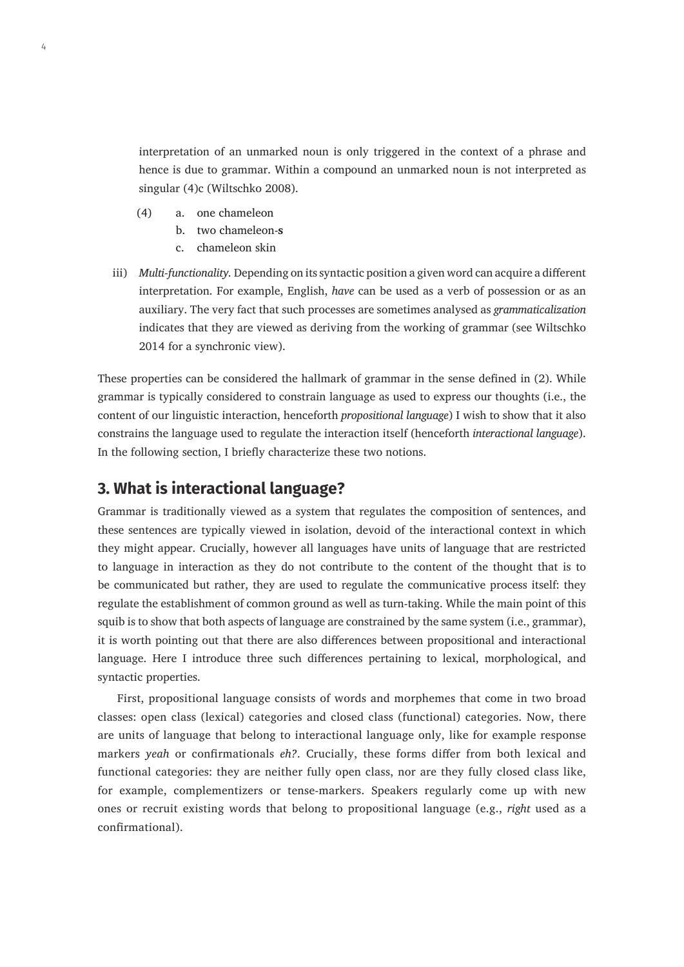interpretation of an unmarked noun is only triggered in the context of a phrase and hence is due to grammar. Within a compound an unmarked noun is not interpreted as singular (4)c (Wiltschko 2008).

- (4) a. one chameleon
	- b. two chameleon-**s**
	- c. chameleon skin
- iii) *Multi-functionality.* Depending on its syntactic position a given word can acquire a different interpretation. For example, English, *have* can be used as a verb of possession or as an auxiliary. The very fact that such processes are sometimes analysed as *grammaticalization* indicates that they are viewed as deriving from the working of grammar (see Wiltschko 2014 for a synchronic view).

These properties can be considered the hallmark of grammar in the sense defined in (2). While grammar is typically considered to constrain language as used to express our thoughts (i.e., the content of our linguistic interaction, henceforth *propositional language*) I wish to show that it also constrains the language used to regulate the interaction itself (henceforth *interactional language*). In the following section, I briefly characterize these two notions.

### **3. What is interactional language?**

Grammar is traditionally viewed as a system that regulates the composition of sentences, and these sentences are typically viewed in isolation, devoid of the interactional context in which they might appear. Crucially, however all languages have units of language that are restricted to language in interaction as they do not contribute to the content of the thought that is to be communicated but rather, they are used to regulate the communicative process itself: they regulate the establishment of common ground as well as turn-taking. While the main point of this squib is to show that both aspects of language are constrained by the same system (i.e., grammar), it is worth pointing out that there are also differences between propositional and interactional language. Here I introduce three such differences pertaining to lexical, morphological, and syntactic properties.

First, propositional language consists of words and morphemes that come in two broad classes: open class (lexical) categories and closed class (functional) categories. Now, there are units of language that belong to interactional language only, like for example response markers *yeah* or confirmationals *eh?*. Crucially, these forms differ from both lexical and functional categories: they are neither fully open class, nor are they fully closed class like, for example, complementizers or tense-markers. Speakers regularly come up with new ones or recruit existing words that belong to propositional language (e.g., *right* used as a confirmational).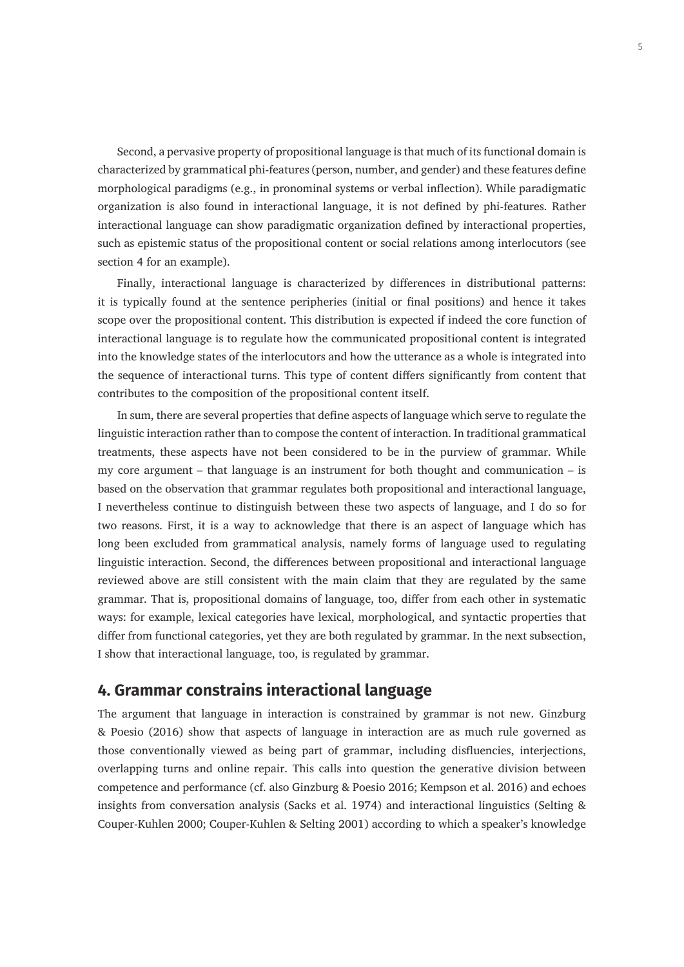Second, a pervasive property of propositional language is that much of its functional domain is characterized by grammatical phi-features (person, number, and gender) and these features define morphological paradigms (e.g., in pronominal systems or verbal inflection). While paradigmatic organization is also found in interactional language, it is not defined by phi-features. Rather interactional language can show paradigmatic organization defined by interactional properties, such as epistemic status of the propositional content or social relations among interlocutors (see section 4 for an example).

Finally, interactional language is characterized by differences in distributional patterns: it is typically found at the sentence peripheries (initial or final positions) and hence it takes scope over the propositional content. This distribution is expected if indeed the core function of interactional language is to regulate how the communicated propositional content is integrated into the knowledge states of the interlocutors and how the utterance as a whole is integrated into the sequence of interactional turns. This type of content differs significantly from content that contributes to the composition of the propositional content itself.

In sum, there are several properties that define aspects of language which serve to regulate the linguistic interaction rather than to compose the content of interaction. In traditional grammatical treatments, these aspects have not been considered to be in the purview of grammar. While my core argument – that language is an instrument for both thought and communication – is based on the observation that grammar regulates both propositional and interactional language, I nevertheless continue to distinguish between these two aspects of language, and I do so for two reasons. First, it is a way to acknowledge that there is an aspect of language which has long been excluded from grammatical analysis, namely forms of language used to regulating linguistic interaction. Second, the differences between propositional and interactional language reviewed above are still consistent with the main claim that they are regulated by the same grammar. That is, propositional domains of language, too, differ from each other in systematic ways: for example, lexical categories have lexical, morphological, and syntactic properties that differ from functional categories, yet they are both regulated by grammar. In the next subsection, I show that interactional language, too, is regulated by grammar.

### **4. Grammar constrains interactional language**

The argument that language in interaction is constrained by grammar is not new. Ginzburg & Poesio (2016) show that aspects of language in interaction are as much rule governed as those conventionally viewed as being part of grammar, including disfluencies, interjections, overlapping turns and online repair. This calls into question the generative division between competence and performance (cf. also Ginzburg & Poesio 2016; Kempson et al. 2016) and echoes insights from conversation analysis (Sacks et al. 1974) and interactional linguistics (Selting & Couper-Kuhlen 2000; Couper-Kuhlen & Selting 2001) according to which a speaker's knowledge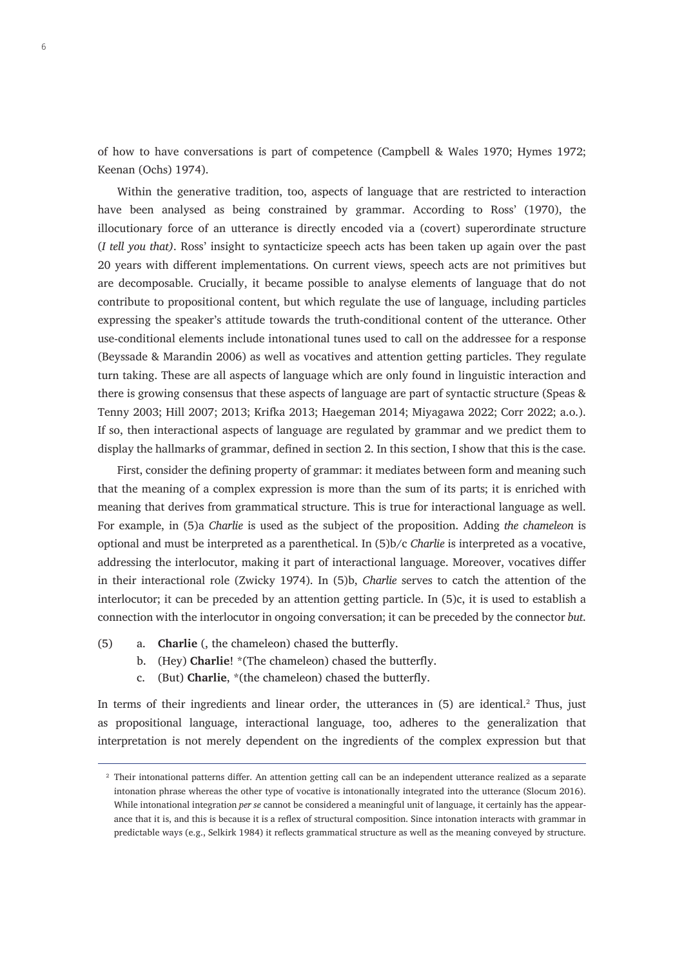of how to have conversations is part of competence (Campbell & Wales 1970; Hymes 1972; Keenan (Ochs) 1974).

Within the generative tradition, too, aspects of language that are restricted to interaction have been analysed as being constrained by grammar. According to Ross' (1970), the illocutionary force of an utterance is directly encoded via a (covert) superordinate structure (*I tell you that)*. Ross' insight to syntacticize speech acts has been taken up again over the past 20 years with different implementations. On current views, speech acts are not primitives but are decomposable. Crucially, it became possible to analyse elements of language that do not contribute to propositional content, but which regulate the use of language, including particles expressing the speaker's attitude towards the truth-conditional content of the utterance. Other use-conditional elements include intonational tunes used to call on the addressee for a response (Beyssade & Marandin 2006) as well as vocatives and attention getting particles. They regulate turn taking. These are all aspects of language which are only found in linguistic interaction and there is growing consensus that these aspects of language are part of syntactic structure (Speas & Tenny 2003; Hill 2007; 2013; Krifka 2013; Haegeman 2014; Miyagawa 2022; Corr 2022; a.o.). If so, then interactional aspects of language are regulated by grammar and we predict them to display the hallmarks of grammar, defined in section 2. In this section, I show that this is the case.

First, consider the defining property of grammar: it mediates between form and meaning such that the meaning of a complex expression is more than the sum of its parts; it is enriched with meaning that derives from grammatical structure. This is true for interactional language as well. For example, in (5)a *Charlie* is used as the subject of the proposition. Adding *the chameleon* is optional and must be interpreted as a parenthetical. In (5)b/c *Charlie* is interpreted as a vocative, addressing the interlocutor, making it part of interactional language. Moreover, vocatives differ in their interactional role (Zwicky 1974). In (5)b, *Charlie* serves to catch the attention of the interlocutor; it can be preceded by an attention getting particle. In (5)c, it is used to establish a connection with the interlocutor in ongoing conversation; it can be preceded by the connector *but*.

- (5) a. **Charlie** (, the chameleon) chased the butterfly.
	- b. (Hey) **Charlie**! \*(The chameleon) chased the butterfly.
	- c. (But) **Charlie**, \*(the chameleon) chased the butterfly.

In terms of their ingredients and linear order, the utterances in (5) are identical.2 Thus, just as propositional language, interactional language, too, adheres to the generalization that interpretation is not merely dependent on the ingredients of the complex expression but that

<sup>&</sup>lt;sup>2</sup> Their intonational patterns differ. An attention getting call can be an independent utterance realized as a separate intonation phrase whereas the other type of vocative is intonationally integrated into the utterance (Slocum 2016). While intonational integration *per se* cannot be considered a meaningful unit of language, it certainly has the appearance that it is, and this is because it is a reflex of structural composition. Since intonation interacts with grammar in predictable ways (e.g., Selkirk 1984) it reflects grammatical structure as well as the meaning conveyed by structure.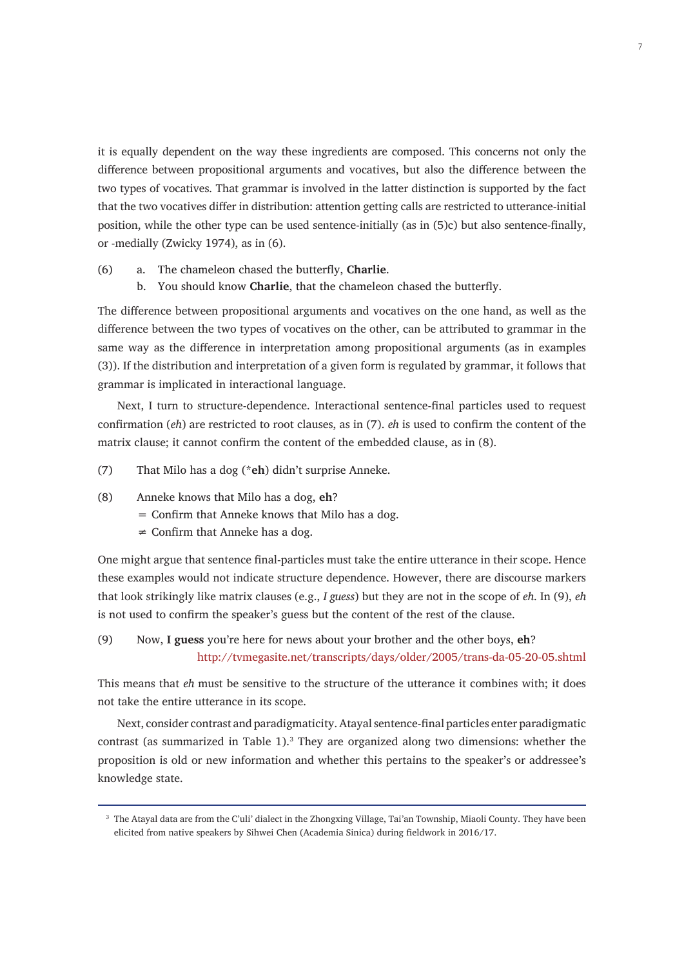it is equally dependent on the way these ingredients are composed. This concerns not only the difference between propositional arguments and vocatives, but also the difference between the two types of vocatives. That grammar is involved in the latter distinction is supported by the fact that the two vocatives differ in distribution: attention getting calls are restricted to utterance-initial position, while the other type can be used sentence-initially (as in (5)c) but also sentence-finally, or -medially (Zwicky 1974), as in (6).

- (6) a. The chameleon chased the butterfly, **Charlie**.
	- b. You should know **Charlie**, that the chameleon chased the butterfly.

The difference between propositional arguments and vocatives on the one hand, as well as the difference between the two types of vocatives on the other, can be attributed to grammar in the same way as the difference in interpretation among propositional arguments (as in examples (3)). If the distribution and interpretation of a given form is regulated by grammar, it follows that grammar is implicated in interactional language.

Next, I turn to structure-dependence. Interactional sentence-final particles used to request confirmation (*eh*) are restricted to root clauses, as in (7). *eh* is used to confirm the content of the matrix clause; it cannot confirm the content of the embedded clause, as in (8).

- (7) That Milo has a dog (\***eh**) didn't surprise Anneke.
- (8) Anneke knows that Milo has a dog, **eh**?
	- $=$  Confirm that Anneke knows that Milo has a dog.
	- $\neq$  Confirm that Anneke has a dog.

One might argue that sentence final-particles must take the entire utterance in their scope. Hence these examples would not indicate structure dependence. However, there are discourse markers that look strikingly like matrix clauses (e.g., *I guess*) but they are not in the scope of *eh*. In (9), *eh*  is not used to confirm the speaker's guess but the content of the rest of the clause.

#### (9) Now, **I guess** you're here for news about your brother and the other boys, **eh**? <http://tvmegasite.net/transcripts/days/older/2005/trans-da-05-20-05.shtml>

This means that *eh* must be sensitive to the structure of the utterance it combines with; it does not take the entire utterance in its scope.

Next, consider contrast and paradigmaticity. Atayal sentence-final particles enter paradigmatic contrast (as summarized in Table  $1$ ).<sup>3</sup> They are organized along two dimensions: whether the proposition is old or new information and whether this pertains to the speaker's or addressee's knowledge state.

<sup>&</sup>lt;sup>3</sup> The Atayal data are from the C'uli' dialect in the Zhongxing Village, Tai'an Township, Miaoli County. They have been elicited from native speakers by Sihwei Chen (Academia Sinica) during fieldwork in 2016/17.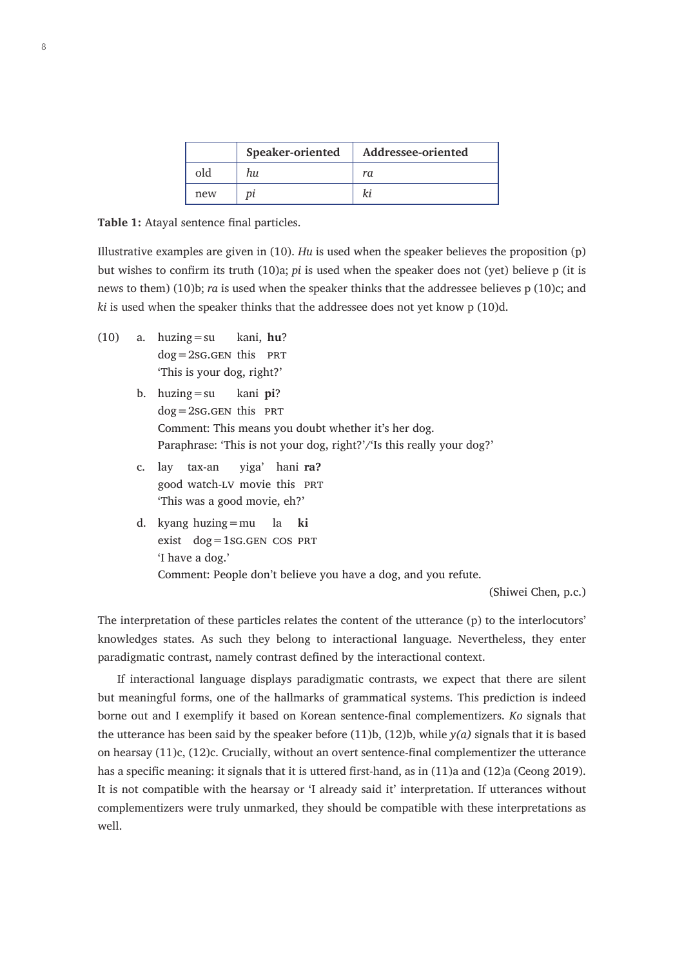|     | Speaker-oriented | Addressee-oriented |
|-----|------------------|--------------------|
| old | hи               | ra                 |
| new |                  |                    |

**Table 1:** Atayal sentence final particles.

Illustrative examples are given in (10). *Hu* is used when the speaker believes the proposition (p) but wishes to confirm its truth (10)a; *pi* is used when the speaker does not (yet) believe p (it is news to them) (10)b; *ra* is used when the speaker thinks that the addressee believes p (10)c; and *ki* is used when the speaker thinks that the addressee does not yet know p (10)d.

- (10) a. huzing=su kani, **hu**?  $dog = 2SG.GEN$  this PRT 'This is your dog, right?'
	- b. huzing=su kani **pi**?  $dog = 2SG.GEN$  this PRT Comment: This means you doubt whether it's her dog. Paraphrase: 'This is not your dog, right?'/'Is this really your dog?'
	- c. lay tax-an yiga' hani **ra?** good watch-lv movie this prt 'This was a good movie, eh?'
	- d. kyang huzing=mu la **ki** exist  $dog = 1SG.GEN COS PRT$ 'I have a dog.' Comment: People don't believe you have a dog, and you refute.

(Shiwei Chen, p.c.)

The interpretation of these particles relates the content of the utterance (p) to the interlocutors' knowledges states. As such they belong to interactional language. Nevertheless, they enter paradigmatic contrast, namely contrast defined by the interactional context.

If interactional language displays paradigmatic contrasts, we expect that there are silent but meaningful forms, one of the hallmarks of grammatical systems. This prediction is indeed borne out and I exemplify it based on Korean sentence-final complementizers. *Ko* signals that the utterance has been said by the speaker before (11)b, (12)b, while *y(a)* signals that it is based on hearsay (11)c, (12)c. Crucially, without an overt sentence-final complementizer the utterance has a specific meaning: it signals that it is uttered first-hand, as in (11)a and (12)a (Ceong 2019). It is not compatible with the hearsay or 'I already said it' interpretation. If utterances without complementizers were truly unmarked, they should be compatible with these interpretations as well.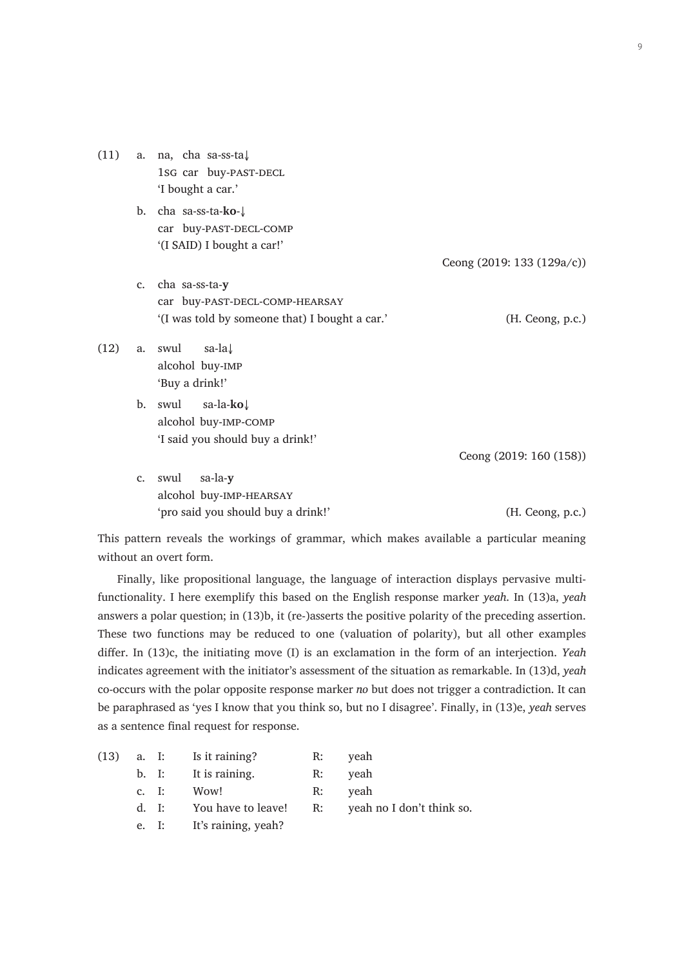(11) a. na, cha sa-ss-ta↓ 1sg car buy-PAST-DECL 'I bought a car.' b. cha sa-ss-ta-**ko**-↓ car buy-PAST-DECL-COMP '(I SAID) I bought a car!' Ceong (2019: 133 (129a/c)) c. cha sa-ss-ta-**y** car buy-PAST-DECL-COMP-HEARSAY '(I was told by someone that) I bought a car.' (H. Ceong, p.c.)  $(12)$  a. swul sa-la $\downarrow$ alcohol buy-imp 'Buy a drink!' b. swul sa-la-**ko**↓ alcohol buy-imp-comp 'I said you should buy a drink!' Ceong (2019: 160 (158)) c. swul sa-la-**y** alcohol buy-imp-hearsay 'pro said you should buy a drink!' (H. Ceong, p.c.)  $\overline{Q}$ 

This pattern reveals the workings of grammar, which makes available a particular meaning without an overt form.

Finally, like propositional language, the language of interaction displays pervasive multifunctionality. I here exemplify this based on the English response marker *yeah*. In (13)a, *yeah* answers a polar question; in (13)b, it (re-)asserts the positive polarity of the preceding assertion. These two functions may be reduced to one (valuation of polarity), but all other examples differ. In (13)c, the initiating move (I) is an exclamation in the form of an interjection. *Yeah* indicates agreement with the initiator's assessment of the situation as remarkable. In (13)d, *yeah* co-occurs with the polar opposite response marker *no* but does not trigger a contradiction. It can be paraphrased as 'yes I know that you think so, but no I disagree'. Finally, in (13)e, *yeah* serves as a sentence final request for response.

|  |  | $(13)$ a. I: Is it raining? | R: veah                                               |
|--|--|-----------------------------|-------------------------------------------------------|
|  |  | b. I: It is raining.        | R: veah                                               |
|  |  | c. I: Wow!                  | R: veah                                               |
|  |  |                             | d. I: You have to leave! R: yeah no I don't think so. |

e. I: It's raining, yeah?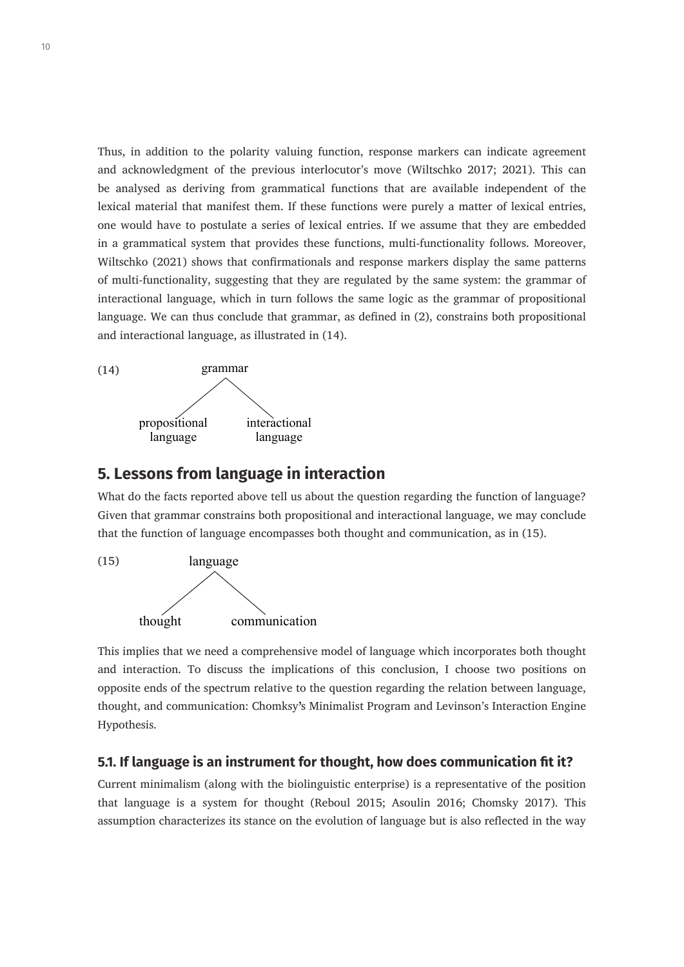Thus, in addition to the polarity valuing function, response markers can indicate agreement and acknowledgment of the previous interlocutor's move (Wiltschko 2017; 2021). This can be analysed as deriving from grammatical functions that are available independent of the lexical material that manifest them. If these functions were purely a matter of lexical entries, one would have to postulate a series of lexical entries. If we assume that they are embedded in a grammatical system that provides these functions, multi-functionality follows. Moreover, Wiltschko (2021) shows that confirmationals and response markers display the same patterns of multi-functionality, suggesting that they are regulated by the same system: the grammar of interactional language, which in turn follows the same logic as the grammar of propositional language. We can thus conclude that grammar, as defined in (2), constrains both propositional and interactional language, as illustrated in (14).



### **5. Lessons from language in interaction**

What do the facts reported above tell us about the question regarding the function of language? Given that grammar constrains both propositional and interactional language, we may conclude that the function of language encompasses both thought and communication, as in (15).



This implies that we need a comprehensive model of language which incorporates both thought and interaction. To discuss the implications of this conclusion, I choose two positions on opposite ends of the spectrum relative to the question regarding the relation between language, thought, and communication: Chomksy's Minimalist Program and Levinson's Interaction Engine Hypothesis.

#### **5.1. If language is an instrument for thought, how does communication fit it?**

Current minimalism (along with the biolinguistic enterprise) is a representative of the position that language is a system for thought (Reboul 2015; Asoulin 2016; Chomsky 2017). This assumption characterizes its stance on the evolution of language but is also reflected in the way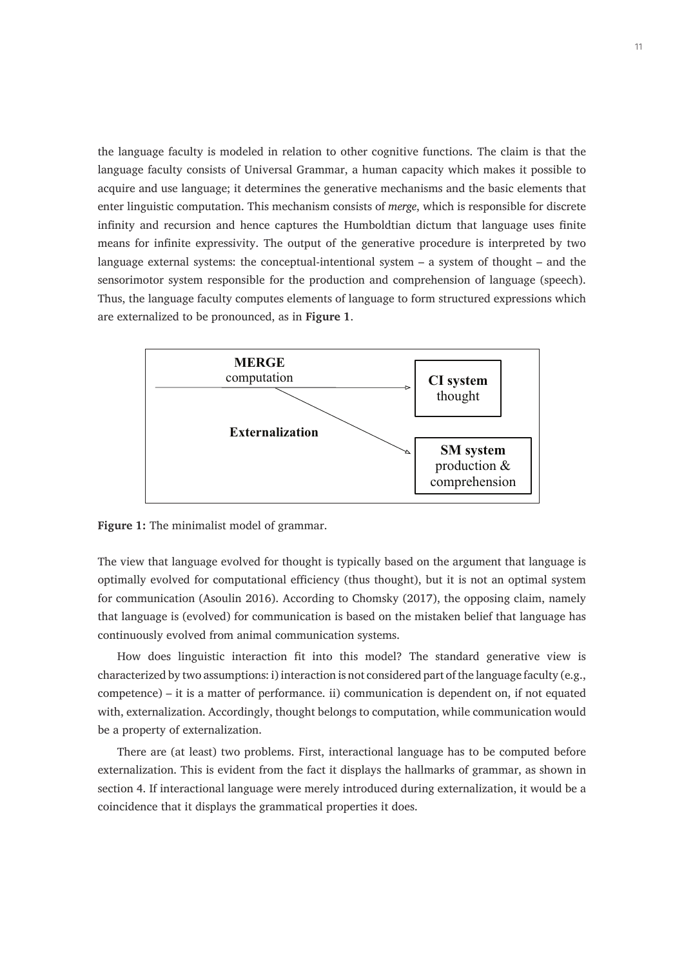the language faculty is modeled in relation to other cognitive functions. The claim is that the language faculty consists of Universal Grammar, a human capacity which makes it possible to acquire and use language; it determines the generative mechanisms and the basic elements that enter linguistic computation. This mechanism consists of *merge*, which is responsible for discrete infinity and recursion and hence captures the Humboldtian dictum that language uses finite means for infinite expressivity. The output of the generative procedure is interpreted by two language external systems: the conceptual-intentional system – a system of thought – and the sensorimotor system responsible for the production and comprehension of language (speech). Thus, the language faculty computes elements of language to form structured expressions which are externalized to be pronounced, as in **Figure 1**.



**Figure 1:** The minimalist model of grammar.

The view that language evolved for thought is typically based on the argument that language is optimally evolved for computational efficiency (thus thought), but it is not an optimal system for communication (Asoulin 2016). According to Chomsky (2017), the opposing claim, namely that language is (evolved) for communication is based on the mistaken belief that language has continuously evolved from animal communication systems.

How does linguistic interaction fit into this model? The standard generative view is characterized by two assumptions: i) interaction is not considered part of the language faculty (e.g., competence) – it is a matter of performance. ii) communication is dependent on, if not equated with, externalization. Accordingly, thought belongs to computation, while communication would be a property of externalization.

There are (at least) two problems. First, interactional language has to be computed before externalization. This is evident from the fact it displays the hallmarks of grammar, as shown in section 4. If interactional language were merely introduced during externalization, it would be a coincidence that it displays the grammatical properties it does.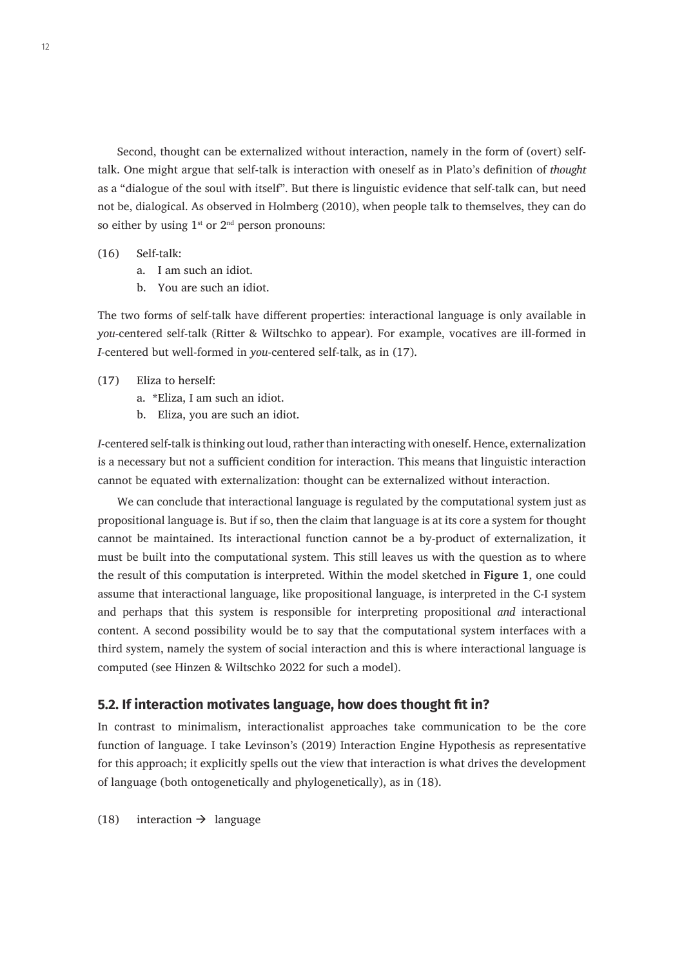Second, thought can be externalized without interaction, namely in the form of (overt) selftalk. One might argue that self-talk is interaction with oneself as in Plato's definition of *thought* as a "dialogue of the soul with itself". But there is linguistic evidence that self-talk can, but need not be, dialogical. As observed in Holmberg (2010), when people talk to themselves, they can do so either by using  $1^{st}$  or  $2^{nd}$  person pronouns:

#### (16) Self-talk:

- a. I am such an idiot.
- b. You are such an idiot.

The two forms of self-talk have different properties: interactional language is only available in *you-*centered self-talk (Ritter & Wiltschko to appear). For example, vocatives are ill-formed in *I-*centered but well-formed in *you*-centered self-talk, as in (17).

#### (17) Eliza to herself:

- a. \*Eliza, I am such an idiot.
- b. Eliza, you are such an idiot.

*I-*centered self-talk is thinking out loud, rather than interacting with oneself. Hence, externalization is a necessary but not a sufficient condition for interaction. This means that linguistic interaction cannot be equated with externalization: thought can be externalized without interaction.

We can conclude that interactional language is regulated by the computational system just as propositional language is. But if so, then the claim that language is at its core a system for thought cannot be maintained. Its interactional function cannot be a by-product of externalization, it must be built into the computational system. This still leaves us with the question as to where the result of this computation is interpreted. Within the model sketched in **Figure 1**, one could assume that interactional language, like propositional language, is interpreted in the C-I system and perhaps that this system is responsible for interpreting propositional *and* interactional content. A second possibility would be to say that the computational system interfaces with a third system, namely the system of social interaction and this is where interactional language is computed (see Hinzen & Wiltschko 2022 for such a model).

#### **5.2. If interaction motivates language, how does thought fit in?**

In contrast to minimalism, interactionalist approaches take communication to be the core function of language. I take Levinson's (2019) Interaction Engine Hypothesis as representative for this approach; it explicitly spells out the view that interaction is what drives the development of language (both ontogenetically and phylogenetically), as in (18).

(18) interaction  $\rightarrow$  language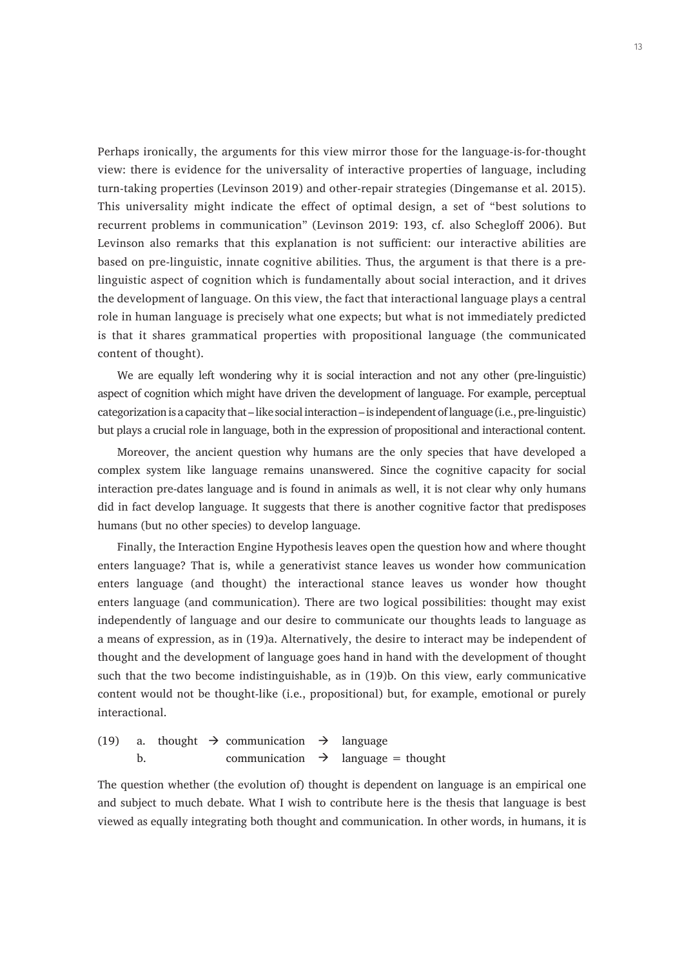Perhaps ironically, the arguments for this view mirror those for the language-is-for-thought view: there is evidence for the universality of interactive properties of language, including turn-taking properties (Levinson 2019) and other-repair strategies (Dingemanse et al. 2015). This universality might indicate the effect of optimal design, a set of "best solutions to recurrent problems in communication" (Levinson 2019: 193, cf. also Schegloff 2006). But Levinson also remarks that this explanation is not sufficient: our interactive abilities are based on pre-linguistic, innate cognitive abilities. Thus, the argument is that there is a prelinguistic aspect of cognition which is fundamentally about social interaction, and it drives the development of language. On this view, the fact that interactional language plays a central role in human language is precisely what one expects; but what is not immediately predicted is that it shares grammatical properties with propositional language (the communicated content of thought).

We are equally left wondering why it is social interaction and not any other (pre-linguistic) aspect of cognition which might have driven the development of language. For example, perceptual categorization is a capacity that – like social interaction – is independent of language (i.e., pre-linguistic) but plays a crucial role in language, both in the expression of propositional and interactional content.

Moreover, the ancient question why humans are the only species that have developed a complex system like language remains unanswered. Since the cognitive capacity for social interaction pre-dates language and is found in animals as well, it is not clear why only humans did in fact develop language. It suggests that there is another cognitive factor that predisposes humans (but no other species) to develop language.

Finally, the Interaction Engine Hypothesis leaves open the question how and where thought enters language? That is, while a generativist stance leaves us wonder how communication enters language (and thought) the interactional stance leaves us wonder how thought enters language (and communication). There are two logical possibilities: thought may exist independently of language and our desire to communicate our thoughts leads to language as a means of expression, as in (19)a. Alternatively, the desire to interact may be independent of thought and the development of language goes hand in hand with the development of thought such that the two become indistinguishable, as in (19)b. On this view, early communicative content would not be thought-like (i.e., propositional) but, for example, emotional or purely interactional.

(19) a. thought 
$$
\rightarrow
$$
 communication  $\rightarrow$  language b. communication  $\rightarrow$  language = thought

The question whether (the evolution of) thought is dependent on language is an empirical one and subject to much debate. What I wish to contribute here is the thesis that language is best viewed as equally integrating both thought and communication. In other words, in humans, it is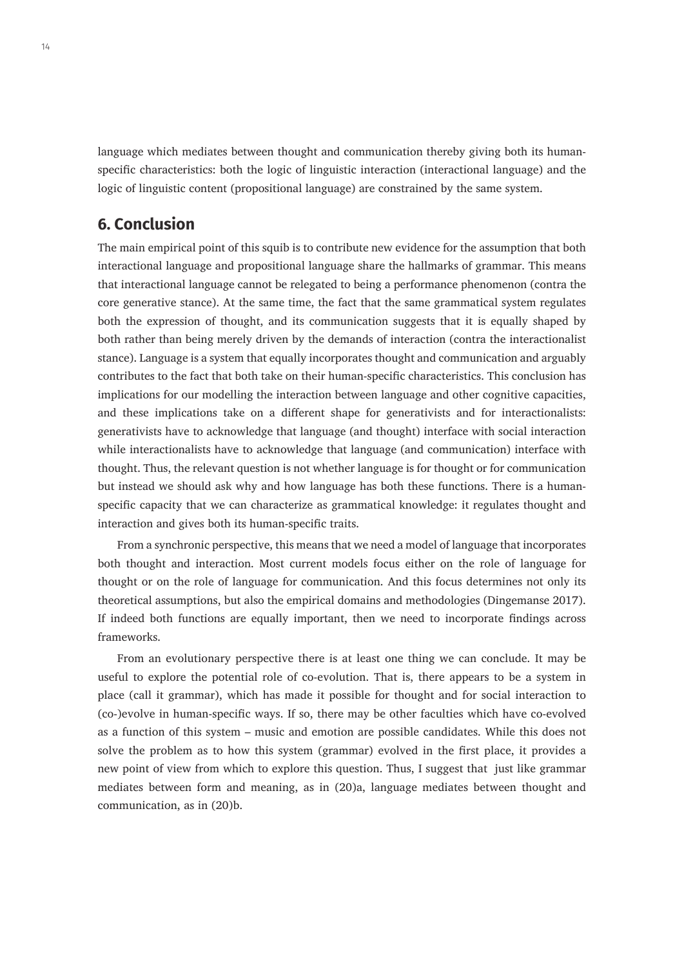language which mediates between thought and communication thereby giving both its humanspecific characteristics: both the logic of linguistic interaction (interactional language) and the logic of linguistic content (propositional language) are constrained by the same system.

### **6. Conclusion**

The main empirical point of this squib is to contribute new evidence for the assumption that both interactional language and propositional language share the hallmarks of grammar. This means that interactional language cannot be relegated to being a performance phenomenon (contra the core generative stance). At the same time, the fact that the same grammatical system regulates both the expression of thought, and its communication suggests that it is equally shaped by both rather than being merely driven by the demands of interaction (contra the interactionalist stance). Language is a system that equally incorporates thought and communication and arguably contributes to the fact that both take on their human-specific characteristics. This conclusion has implications for our modelling the interaction between language and other cognitive capacities, and these implications take on a different shape for generativists and for interactionalists: generativists have to acknowledge that language (and thought) interface with social interaction while interactionalists have to acknowledge that language (and communication) interface with thought. Thus, the relevant question is not whether language is for thought or for communication but instead we should ask why and how language has both these functions. There is a humanspecific capacity that we can characterize as grammatical knowledge: it regulates thought and interaction and gives both its human-specific traits.

From a synchronic perspective, this means that we need a model of language that incorporates both thought and interaction. Most current models focus either on the role of language for thought or on the role of language for communication. And this focus determines not only its theoretical assumptions, but also the empirical domains and methodologies (Dingemanse 2017). If indeed both functions are equally important, then we need to incorporate findings across frameworks.

From an evolutionary perspective there is at least one thing we can conclude. It may be useful to explore the potential role of co-evolution. That is, there appears to be a system in place (call it grammar), which has made it possible for thought and for social interaction to (co-)evolve in human-specific ways. If so, there may be other faculties which have co-evolved as a function of this system – music and emotion are possible candidates. While this does not solve the problem as to how this system (grammar) evolved in the first place, it provides a new point of view from which to explore this question. Thus, I suggest that just like grammar mediates between form and meaning, as in (20)a, language mediates between thought and communication, as in (20)b.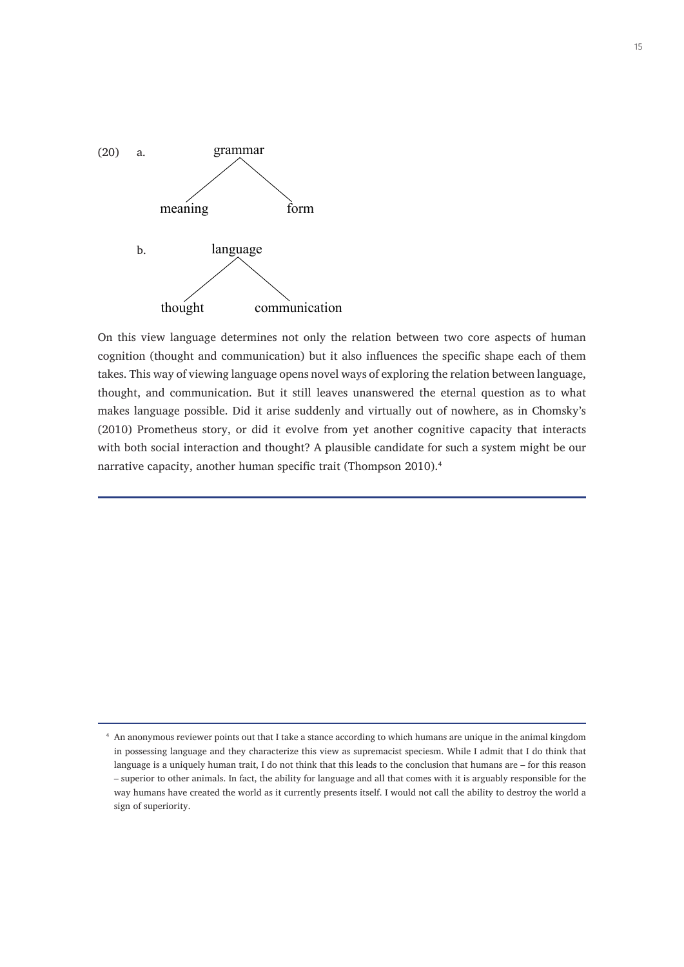

On this view language determines not only the relation between two core aspects of human cognition (thought and communication) but it also influences the specific shape each of them takes. This way of viewing language opens novel ways of exploring the relation between language, thought, and communication. But it still leaves unanswered the eternal question as to what makes language possible. Did it arise suddenly and virtually out of nowhere, as in Chomsky's (2010) Prometheus story, or did it evolve from yet another cognitive capacity that interacts with both social interaction and thought? A plausible candidate for such a system might be our narrative capacity, another human specific trait (Thompson 2010).<sup>4</sup>

<sup>4</sup> An anonymous reviewer points out that I take a stance according to which humans are unique in the animal kingdom in possessing language and they characterize this view as supremacist speciesm. While I admit that I do think that language is a uniquely human trait, I do not think that this leads to the conclusion that humans are – for this reason – superior to other animals. In fact, the ability for language and all that comes with it is arguably responsible for the way humans have created the world as it currently presents itself. I would not call the ability to destroy the world a sign of superiority.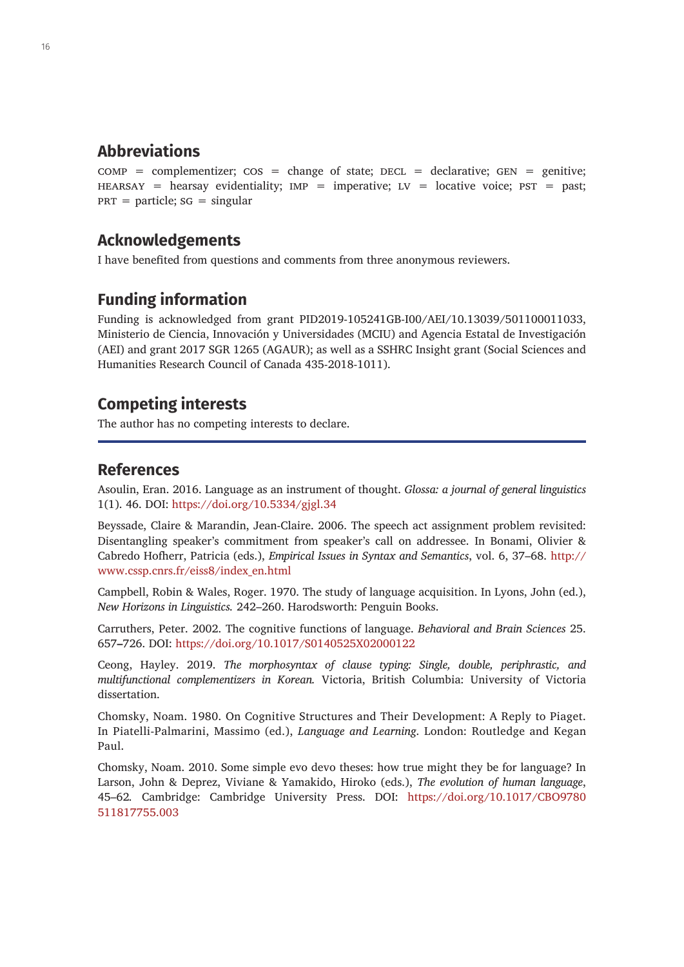### **Abbreviations**

 $COMP = complementizer$ ;  $COS = change of state$ ; DECL = declarative; GEN = genitive; HEARSAY = hearsay evidentiality;  $IMP = imperative$ ;  $LV = locative$  voice;  $PST = past$ ;  $PRT =$  particle;  $SG =$  singular

### **Acknowledgements**

I have benefited from questions and comments from three anonymous reviewers.

### **Funding information**

Funding is acknowledged from grant PID2019-105241GB-I00/AEI/10.13039/501100011033, Ministerio de Ciencia, Innovación y Universidades (MCIU) and Agencia Estatal de Investigación (AEI) and grant 2017 SGR 1265 (AGAUR); as well as a SSHRC Insight grant (Social Sciences and Humanities Research Council of Canada 435-2018-1011).

### **Competing interests**

The author has no competing interests to declare.

### **References**

Asoulin, Eran. 2016. Language as an instrument of thought. *Glossa: a journal of general linguistics* 1(1). 46. DOI: <https://doi.org/10.5334/gjgl.34>

Beyssade, Claire & Marandin, Jean-Claire. 2006. The speech act assignment problem revisited: Disentangling speaker's commitment from speaker's call on addressee. In Bonami, Olivier & Cabredo Hofherr, Patricia (eds.), *Empirical Issues in Syntax and Semantics*, vol. 6, 37–68. [http://](http://www.cssp.cnrs.fr/eiss8/index_en.html) [www.cssp.cnrs.fr/eiss8/index\\_en.html](http://www.cssp.cnrs.fr/eiss8/index_en.html)

Campbell, Robin & Wales, Roger. 1970. The study of language acquisition. In Lyons, John (ed.), *New Horizons in Linguistics.* 242–260. Harodsworth: Penguin Books.

Carruthers, Peter. 2002. The cognitive functions of language. *Behavioral and Brain Sciences* 25. 657**–**726. DOI: <https://doi.org/10.1017/S0140525X02000122>

Ceong, Hayley. 2019. *The morphosyntax of clause typing: Single, double, periphrastic, and multifunctional complementizers in Korean.* Victoria, British Columbia: University of Victoria dissertation.

Chomsky, Noam. 1980. On Cognitive Structures and Their Development: A Reply to Piaget. In Piatelli-Palmarini, Massimo (ed.), *Language and Learning*. London: Routledge and Kegan Paul.

Chomsky, Noam. 2010. Some simple evo devo theses: how true might they be for language? In Larson, John & Deprez, Viviane & Yamakido, Hiroko (eds.), *The evolution of human language*, 45–62*.* Cambridge: Cambridge University Press. DOI: [https://doi.org/10.1017/CBO9780](https://doi.org/10.1017/CBO9780511817755.003) [511817755.003](https://doi.org/10.1017/CBO9780511817755.003)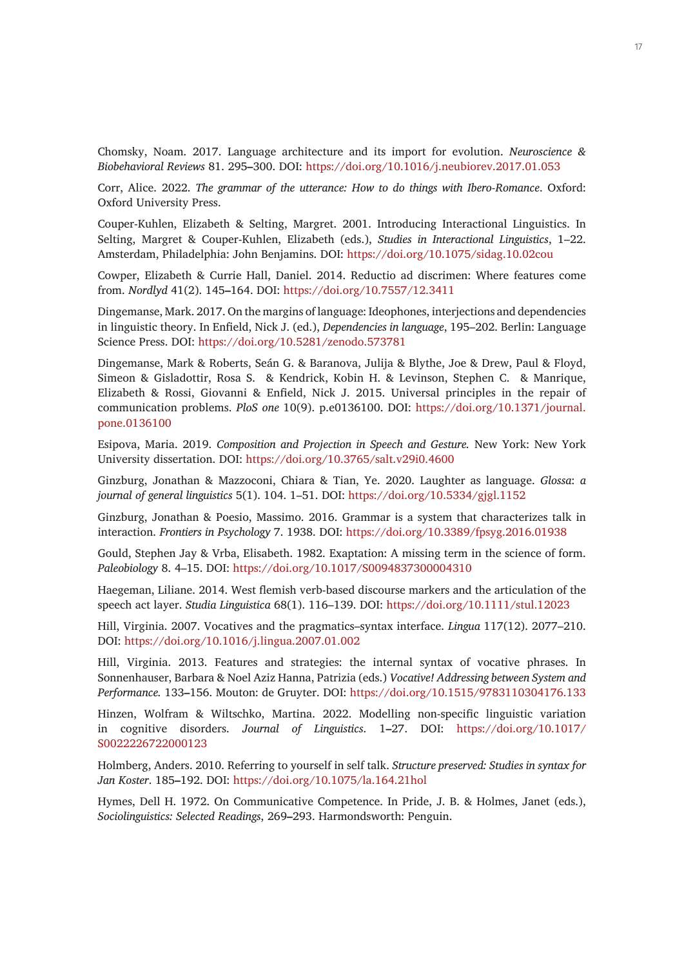Chomsky, Noam. 2017. Language architecture and its import for evolution. *Neuroscience & Biobehavioral Reviews* 81. 295**–**300. DOI: <https://doi.org/10.1016/j.neubiorev.2017.01.053>

Corr, Alice. 2022. *The grammar of the utterance: How to do things with Ibero-Romance*. Oxford: Oxford University Press.

Couper-Kuhlen, Elizabeth & Selting, Margret. 2001. Introducing Interactional Linguistics. In Selting, Margret & Couper-Kuhlen, Elizabeth (eds.), *Studies in Interactional Linguistics*, 1–22. Amsterdam, Philadelphia: John Benjamins. DOI: <https://doi.org/10.1075/sidag.10.02cou>

Cowper, Elizabeth & Currie Hall, Daniel. 2014. Reductio ad discrimen: Where features come from. *Nordlyd* 41(2). 145**–**164. DOI: <https://doi.org/10.7557/12.3411>

Dingemanse, Mark. 2017. On the margins of language: Ideophones, interjections and dependencies in linguistic theory. In Enfield, Nick J. (ed.), *Dependencies in language*, 195–202. Berlin: Language Science Press. DOI: <https://doi.org/10.5281/zenodo.573781>

Dingemanse, Mark & Roberts, Seán G. & Baranova, Julija & Blythe, Joe & Drew, Paul & Floyd, Simeon & Gisladottir, Rosa S. & Kendrick, Kobin H. & Levinson, Stephen C. & Manrique, Elizabeth & Rossi, Giovanni & Enfield, Nick J. 2015. Universal principles in the repair of communication problems. *PloS one* 10(9). p.e0136100. DOI: [https://doi.org/10.1371/journal.](https://doi.org/10.1371/journal.pone.0136100) [pone.0136100](https://doi.org/10.1371/journal.pone.0136100)

Esipova, Maria. 2019. *Composition and Projection in Speech and Gesture.* New York: New York University dissertation. DOI:<https://doi.org/10.3765/salt.v29i0.4600>

Ginzburg, Jonathan & Mazzoconi, Chiara & Tian, Ye. 2020. Laughter as language. *Glossa*: *a journal of general linguistics* 5(1). 104. 1–51. DOI: <https://doi.org/10.5334/gjgl.1152>

Ginzburg, Jonathan & Poesio, Massimo. 2016. Grammar is a system that characterizes talk in interaction. *Frontiers in Psychology* 7. 1938. DOI:<https://doi.org/10.3389/fpsyg.2016.01938>

Gould, Stephen Jay & Vrba, Elisabeth. 1982. Exaptation: A missing term in the science of form. *Paleobiology* 8. 4–15. DOI: <https://doi.org/10.1017/S0094837300004310>

Haegeman, Liliane. 2014. West flemish verb-based discourse markers and the articulation of the speech act layer. *Studia Linguistica* 68(1). 116–139. DOI: <https://doi.org/10.1111/stul.12023>

Hill, Virginia. 2007. Vocatives and the pragmatics–syntax interface. *Lingua* 117(12). 2077–210. DOI: <https://doi.org/10.1016/j.lingua.2007.01.002>

Hill, Virginia. 2013. Features and strategies: the internal syntax of vocative phrases. In Sonnenhauser, Barbara & Noel Aziz Hanna, Patrizia (eds.) *Vocative! Addressing between System and Performance.* 133**–**156. Mouton: de Gruyter. DOI: <https://doi.org/10.1515/9783110304176.133>

Hinzen, Wolfram & Wiltschko, Martina. 2022. Modelling non-specific linguistic variation in cognitive disorders. *Journal of Linguistics*. 1**–**27. DOI: [https://doi.org/10.1017/](https://doi.org/10.1017/S0022226722000123) [S0022226722000123](https://doi.org/10.1017/S0022226722000123)

Holmberg, Anders. 2010. Referring to yourself in self talk. *Structure preserved: Studies in syntax for Jan Koster*. 185**–**192. DOI:<https://doi.org/10.1075/la.164.21hol>

Hymes, Dell H. 1972. On Communicative Competence. In Pride, J. B. & Holmes, Janet (eds.), *Sociolinguistics: Selected Readings*, 269**–**293. Harmondsworth: Penguin.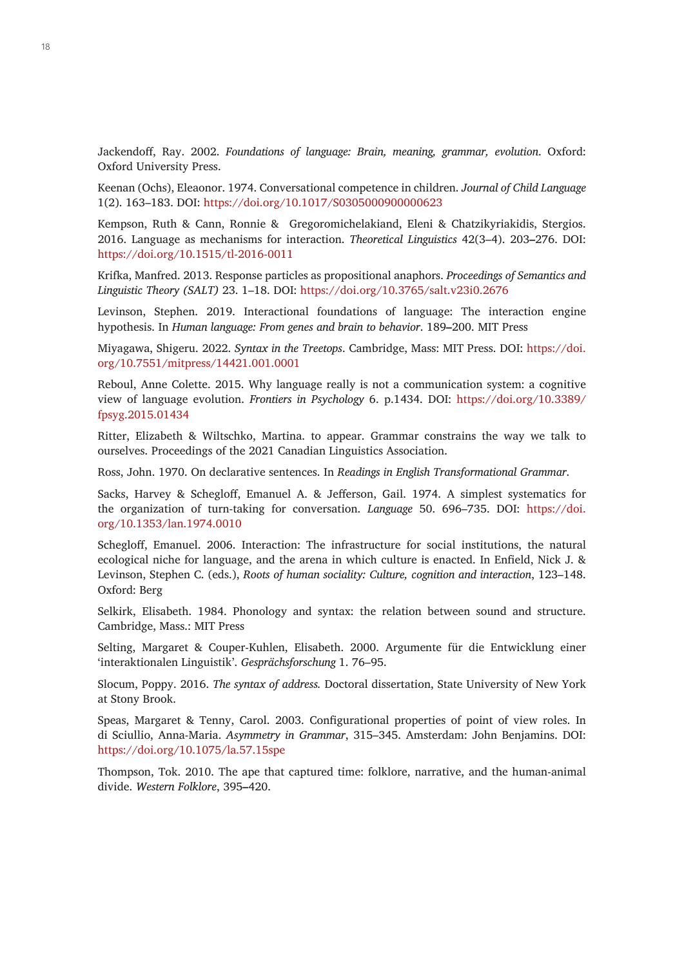Jackendoff, Ray. 2002. *Foundations of language: Brain, meaning, grammar, evolution*. Oxford: Oxford University Press.

Keenan (Ochs), Eleaonor. 1974. Conversational competence in children. *Journal of Child Language* 1(2). 163–183. DOI:<https://doi.org/10.1017/S0305000900000623>

Kempson, Ruth & Cann, Ronnie & Gregoromichelakiand, Eleni & Chatzikyriakidis, Stergios. 2016. Language as mechanisms for interaction. *Theoretical Linguistics* 42(3–4). 203**–**276. DOI: <https://doi.org/10.1515/tl-2016-0011>

Krifka, Manfred. 2013. Response particles as propositional anaphors. *Proceedings of Semantics and Linguistic Theory (SALT)* 23. 1–18. DOI:<https://doi.org/10.3765/salt.v23i0.2676>

Levinson, Stephen. 2019. Interactional foundations of language: The interaction engine hypothesis. In *Human language: From genes and brain to behavior*. 189**–**200. MIT Press

Miyagawa, Shigeru. 2022. *Syntax in the Treetops*. Cambridge, Mass: MIT Press. DOI: [https://doi.](https://doi.org/10.7551/mitpress/14421.001.0001) [org/10.7551/mitpress/14421.001.0001](https://doi.org/10.7551/mitpress/14421.001.0001)

Reboul, Anne Colette. 2015. Why language really is not a communication system: a cognitive view of language evolution. *Frontiers in Psychology* 6. p.1434. DOI: [https://doi.org/10.3389/](https://doi.org/10.3389/fpsyg.2015.01434) [fpsyg.2015.01434](https://doi.org/10.3389/fpsyg.2015.01434)

Ritter, Elizabeth & Wiltschko, Martina. to appear. Grammar constrains the way we talk to ourselves. Proceedings of the 2021 Canadian Linguistics Association.

Ross, John. 1970. On declarative sentences. In *Readings in English Transformational Grammar*.

Sacks, Harvey & Schegloff, Emanuel A. & Jefferson, Gail. 1974. A simplest systematics for the organization of turn-taking for conversation. *Language* 50. 696–735. DOI: [https://doi.](https://doi.org/10.1353/lan.1974.0010) [org/10.1353/lan.1974.0010](https://doi.org/10.1353/lan.1974.0010)

Schegloff, Emanuel. 2006. Interaction: The infrastructure for social institutions, the natural ecological niche for language, and the arena in which culture is enacted. In Enfield, Nick J. & Levinson, Stephen C. (eds.), *Roots of human sociality: Culture, cognition and interaction*, 123–148. Oxford: Berg

Selkirk, Elisabeth. 1984. Phonology and syntax: the relation between sound and structure. Cambridge, Mass.: MIT Press

Selting, Margaret & Couper-Kuhlen, Elisabeth. 2000. Argumente für die Entwicklung einer 'interaktionalen Linguistik'. *Gesprächsforschung* 1. 76–95.

Slocum, Poppy. 2016. *The syntax of address.* Doctoral dissertation, State University of New York at Stony Brook.

Speas, Margaret & Tenny, Carol. 2003. Configurational properties of point of view roles. In di Sciullio, Anna-Maria. *Asymmetry in Grammar*, 315–345. Amsterdam: John Benjamins. DOI: <https://doi.org/10.1075/la.57.15spe>

Thompson, Tok. 2010. The ape that captured time: folklore, narrative, and the human-animal divide. *Western Folklore*, 395**–**420.